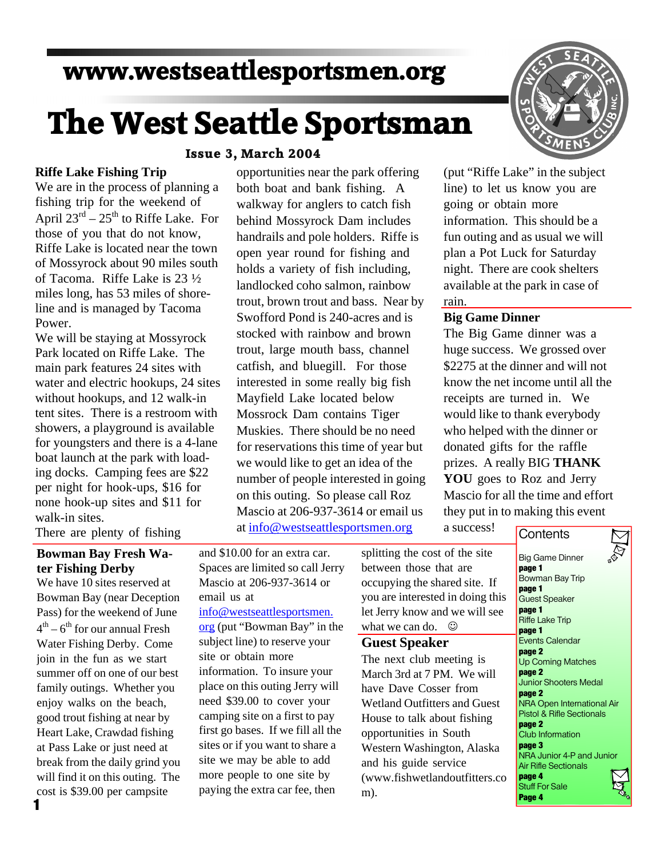# **www.westseattlesportsmen.org**

# **The West Seattle Sportsman**

#### **Issue 3, March 2004**

opportunities near the park offering both boat and bank fishing. A walkway for anglers to catch fish behind Mossyrock Dam includes handrails and pole holders. Riffe is open year round for fishing and holds a variety of fish including, landlocked coho salmon, rainbow trout, brown trout and bass. Near by Swofford Pond is 240-acres and is stocked with rainbow and brown trout, large mouth bass, channel catfish, and bluegill. For those interested in some really big fish Mayfield Lake located below Mossrock Dam contains Tiger Muskies. There should be no need for reservations this time of year but we would like to get an idea of the number of people interested in going on this outing. So please call Roz Mascio at 206-937-3614 or email us at info@westseattlesportsmen.org

#### **Riffe Lake Fishing Trip**

We are in the process of planning a fishing trip for the weekend of April  $23^{rd}$  –  $25^{th}$  to Riffe Lake. For those of you that do not know, Riffe Lake is located near the town of Mossyrock about 90 miles south of Tacoma. Riffe Lake is 23 ½ miles long, has 53 miles of shoreline and is managed by Tacoma Power.

We will be staying at Mossyrock Park located on Riffe Lake. The main park features 24 sites with water and electric hookups, 24 sites without hookups, and 12 walk-in tent sites. There is a restroom with showers, a playground is available for youngsters and there is a 4-lane boat launch at the park with loading docks. Camping fees are \$22 per night for hook-ups, \$16 for none hook-up sites and \$11 for walk-in sites.

There are plenty of fishing

# **Bowman Bay Fresh Water Fishing Derby**

We have 10 sites reserved at Bowman Bay (near Deception Pass) for the weekend of June  $4^{\text{th}} - 6^{\text{th}}$  for our annual Fresh Water Fishing Derby. Come join in the fun as we start summer off on one of our best family outings. Whether you enjoy walks on the beach, good trout fishing at near by Heart Lake, Crawdad fishing at Pass Lake or just need at break from the daily grind you will find it on this outing. The cost is \$39.00 per campsite

and \$10.00 for an extra car. Spaces are limited so call Jerry Mascio at 206-937-3614 or email us at

#### info@westseattlesportsmen.

org (put "Bowman Bay" in the subject line) to reserve your site or obtain more information. To insure your place on this outing Jerry will need \$39.00 to cover your camping site on a first to pay first go bases. If we fill all the sites or if you want to share a site we may be able to add more people to one site by paying the extra car fee, then



(put "Riffe Lake" in the subject line) to let us know you are going or obtain more information. This should be a fun outing and as usual we will plan a Pot Luck for Saturday night. There are cook shelters available at the park in case of rain.

#### **Big Game Dinner**

The Big Game dinner was a huge success. We grossed over \$2275 at the dinner and will not know the net income until all the receipts are turned in. We would like to thank everybody who helped with the dinner or donated gifts for the raffle prizes. A really BIG **THANK YOU** goes to Roz and Jerry Mascio for all the time and effort they put in to making this event

a success!

# **Contents**

splitting the cost of the site between those that are occupying the shared site. If you are interested in doing this let Jerry know and we will see what we can do.  $\odot$ 

### **Guest Speaker**

The next club meeting is March 3rd at 7 PM. We will have Dave Cosser from Wetland Outfitters and Guest House to talk about fishing opportunities in South Western Washington, Alaska and his guide service (www.fishwetlandoutfitters.co m).

Big Game Dinner **page 1** Bowman Bay Trip **page 1** Guest Speaker **page 1** Riffe Lake Trip **page 1** Events Calendar **page 2** Up Coming Matches **page 2** Junior Shooters Medal **page 2** NRA Open International Air Pistol & Rifle Sectionals **page 2** Club Information **page 3** NRA Junior 4-P and Junior Air Rifle Sectionals **page 4** Stuff For Sale **Page 4**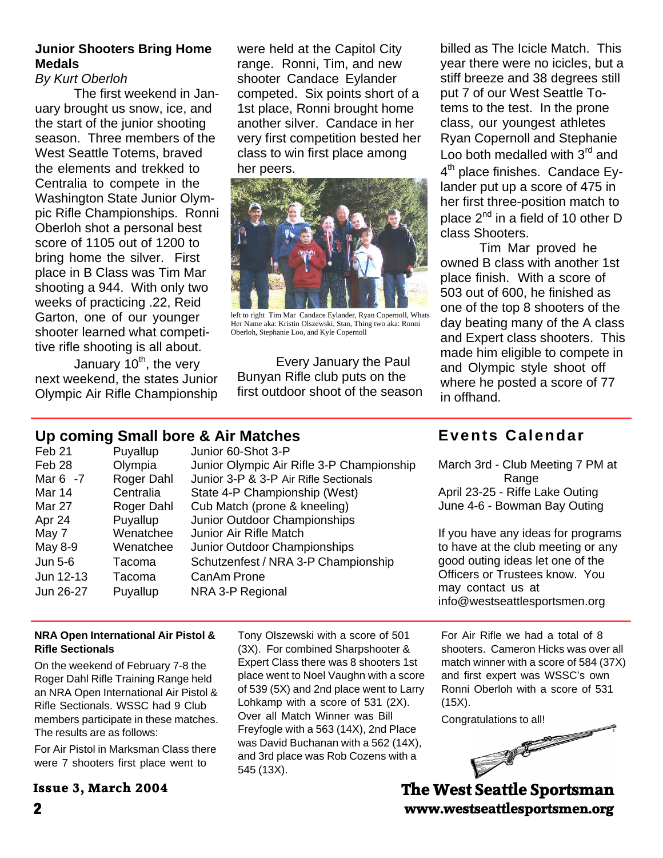# **Junior Shooters Bring Home Medals**

# *By Kurt Oberloh*

 The first weekend in January brought us snow, ice, and the start of the junior shooting season. Three members of the West Seattle Totems, braved the elements and trekked to Centralia to compete in the Washington State Junior Olympic Rifle Championships. Ronni Oberloh shot a personal best score of 1105 out of 1200 to bring home the silver. First place in B Class was Tim Mar shooting a 944. With only two weeks of practicing .22, Reid Garton, one of our younger shooter learned what competitive rifle shooting is all about.

January  $10^{th}$ , the very next weekend, the states Junior Olympic Air Rifle Championship were held at the Capitol City range. Ronni, Tim, and new shooter Candace Eylander competed. Six points short of a 1st place, Ronni brought home another silver. Candace in her very first competition bested her class to win first place among her peers.



left to right Tim Mar Candace Eylander, Ryan Copernoll, Whats Her Name aka: Kristin Olszewski, Stan, Thing two aka: Ronni Oberloh, Stephanie Loo, and Kyle Copernoll

 Every January the Paul Bunyan Rifle club puts on the first outdoor shoot of the season

billed as The Icicle Match. This year there were no icicles, but a stiff breeze and 38 degrees still put 7 of our West Seattle Totems to the test. In the prone class, our youngest athletes Ryan Copernoll and Stephanie Loo both medalled with  $3<sup>rd</sup>$  and 4<sup>th</sup> place finishes. Candace Eylander put up a score of 475 in her first three-position match to place 2<sup>nd</sup> in a field of 10 other D class Shooters.

Tim Mar proved he owned B class with another 1st place finish. With a score of 503 out of 600, he finished as one of the top 8 shooters of the day beating many of the A class and Expert class shooters. This made him eligible to compete in and Olympic style shoot off where he posted a score of 77 in offhand.

# **Up coming Small bore & Air Matches**

| Feb <sub>21</sub> | Puyallup   | Junior 60-Shot 3-P                        |
|-------------------|------------|-------------------------------------------|
| Feb 28            | Olympia    | Junior Olympic Air Rifle 3-P Championship |
| Mar 6 -7          | Roger Dahl | Junior 3-P & 3-P Air Rifle Sectionals     |
| Mar 14            | Centralia  | State 4-P Championship (West)             |
| <b>Mar 27</b>     | Roger Dahl | Cub Match (prone & kneeling)              |
| Apr 24            | Puyallup   | Junior Outdoor Championships              |
| May 7             | Wenatchee  | Junior Air Rifle Match                    |
| May 8-9           | Wenatchee  | Junior Outdoor Championships              |
| Jun 5-6           | Tacoma     | Schutzenfest / NRA 3-P Championship       |
| Jun 12-13         | Tacoma     | CanAm Prone                               |
| Jun 26-27         | Puyallup   | NRA 3-P Regional                          |
|                   |            |                                           |

# **Events Calendar**

March 3rd - Club Meeting 7 PM at **Range** April 23-25 - Riffe Lake Outing June 4-6 - Bowman Bay Outing

If you have any ideas for programs to have at the club meeting or any good outing ideas let one of the Officers or Trustees know. You may contact us at info@westseattlesportsmen.org

#### **NRA Open International Air Pistol & Rifle Sectionals**

On the weekend of February 7-8 the Roger Dahl Rifle Training Range held an NRA Open International Air Pistol & Rifle Sectionals. WSSC had 9 Club members participate in these matches. The results are as follows:

For Air Pistol in Marksman Class there were 7 shooters first place went to

# **Issue 3, March 2004**

Tony Olszewski with a score of 501 (3X). For combined Sharpshooter & Expert Class there was 8 shooters 1st place went to Noel Vaughn with a score of 539 (5X) and 2nd place went to Larry Lohkamp with a score of 531 (2X). Over all Match Winner was Bill Freyfogle with a 563 (14X), 2nd Place was David Buchanan with a 562 (14X), and 3rd place was Rob Cozens with a 545 (13X).

For Air Rifle we had a total of 8 shooters. Cameron Hicks was over all match winner with a score of 584 (37X) and first expert was WSSC's own Ronni Oberloh with a score of 531 (15X).



**2 www.westseattlesportsmen.org The West Seattle Sportsman**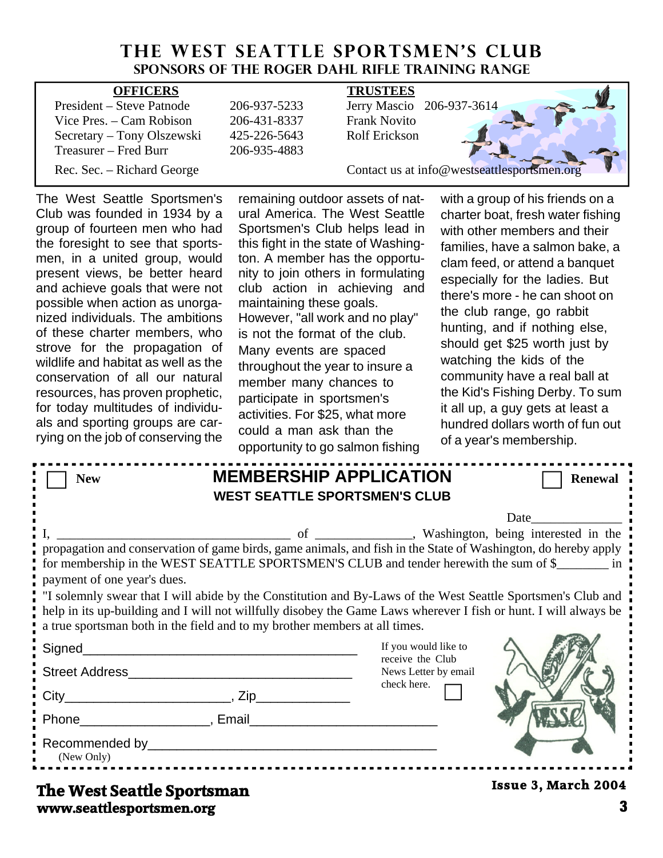# THE WEST SEATTLE SPORTSMEN'S CLUB **Sponsors of the Roger Dahl Rifle Training Range**

| <b>OFFICERS</b>            |              | <b>TRUSTEES</b>                             |
|----------------------------|--------------|---------------------------------------------|
| President – Steve Patnode  | 206-937-5233 | Jerry Mascio 206-937-3614                   |
| Vice Pres. – Cam Robison   | 206-431-8337 | <b>Frank Novito</b>                         |
| Secretary – Tony Olszewski | 425-226-5643 | Rolf Erickson                               |
| Treasurer – Fred Burr      | 206-935-4883 |                                             |
| Rec. Sec. – Richard George |              | Contact us at info@westseattlesportsmen.org |

The West Seattle Sportsmen's Club was founded in 1934 by a group of fourteen men who had the foresight to see that sportsmen, in a united group, would present views, be better heard and achieve goals that were not possible when action as unorganized individuals. The ambitions of these charter members, who strove for the propagation of wildlife and habitat as well as the conservation of all our natural resources, has proven prophetic, for today multitudes of individuals and sporting groups are carrying on the job of conserving the remaining outdoor assets of natural America. The West Seattle Sportsmen's Club helps lead in this fight in the state of Washington. A member has the opportunity to join others in formulating club action in achieving and maintaining these goals. However, "all work and no play" is not the format of the club. Many events are spaced throughout the year to insure a member many chances to participate in sportsmen's activities. For \$25, what more could a man ask than the opportunity to go salmon fishing

with a group of his friends on a charter boat, fresh water fishing with other members and their families, have a salmon bake, a clam feed, or attend a banquet especially for the ladies. But there's more - he can shoot on the club range, go rabbit hunting, and if nothing else, should get \$25 worth just by watching the kids of the community have a real ball at the Kid's Fishing Derby. To sum it all up, a guy gets at least a hundred dollars worth of fun out of a year's membership.

| <b>New</b>                                                                                                                                                                                                                                                                                                                                                                                                                                                                         | <b>MEMBERSHIP APPLICATION</b><br><b>WEST SEATTLE SPORTSMEN'S CLUB</b> |                                                                  | <b>Renewal</b>             |  |  |  |
|------------------------------------------------------------------------------------------------------------------------------------------------------------------------------------------------------------------------------------------------------------------------------------------------------------------------------------------------------------------------------------------------------------------------------------------------------------------------------------|-----------------------------------------------------------------------|------------------------------------------------------------------|----------------------------|--|--|--|
| Date<br>propagation and conservation of game birds, game animals, and fish in the State of Washington, do hereby apply<br>for membership in the WEST SEATTLE SPORTSMEN'S CLUB and tender herewith the sum of \$<br>payment of one year's dues.<br>If solemnly swear that I will abide by the Constitution and By-Laws of the West Seattle Sportsmen's Club and<br>help in its up-building and I will not willfully disobey the Game Laws wherever I fish or hunt. I will always be |                                                                       |                                                                  |                            |  |  |  |
| a true sportsman both in the field and to my brother members at all times.                                                                                                                                                                                                                                                                                                                                                                                                         |                                                                       | If you would like to<br>receive the Club<br>News Letter by email |                            |  |  |  |
| Phone Reserves Report Final Phone Reserves Report Final Phone Reserves Reserves Reserves Reserves Reserves<br>(New Only)                                                                                                                                                                                                                                                                                                                                                           |                                                                       | check here.                                                      |                            |  |  |  |
| The West Seattle Sportsman                                                                                                                                                                                                                                                                                                                                                                                                                                                         |                                                                       |                                                                  | <b>Issue 3, March 2004</b> |  |  |  |

**www.seattlesportsmen.org 3 The West Seattle Sportsman**